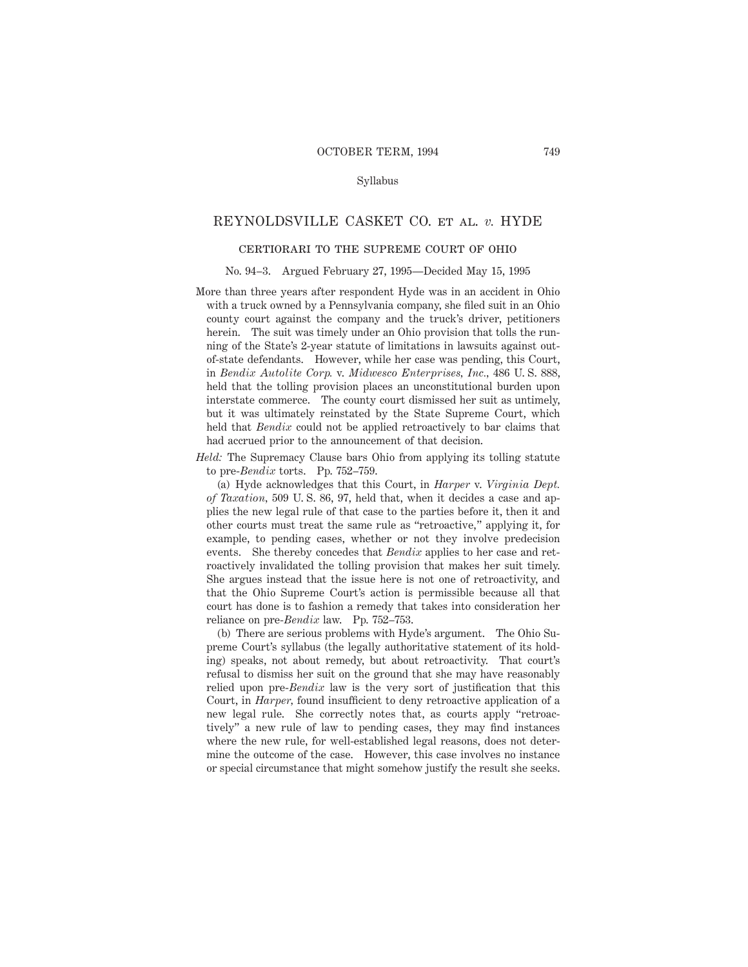### Syllabus

# REYNOLDSVILLE CASKET CO. et al. *v.* HYDE

# certiorari to the supreme court of ohio

#### No. 94–3. Argued February 27, 1995—Decided May 15, 1995

- More than three years after respondent Hyde was in an accident in Ohio with a truck owned by a Pennsylvania company, she filed suit in an Ohio county court against the company and the truck's driver, petitioners herein. The suit was timely under an Ohio provision that tolls the running of the State's 2-year statute of limitations in lawsuits against outof-state defendants. However, while her case was pending, this Court, in *Bendix Autolite Corp.* v. *Midwesco Enterprises, Inc.,* 486 U. S. 888, held that the tolling provision places an unconstitutional burden upon interstate commerce. The county court dismissed her suit as untimely, but it was ultimately reinstated by the State Supreme Court, which held that *Bendix* could not be applied retroactively to bar claims that had accrued prior to the announcement of that decision.
- *Held:* The Supremacy Clause bars Ohio from applying its tolling statute to pre-*Bendix* torts. Pp. 752–759.

(a) Hyde acknowledges that this Court, in *Harper* v. *Virginia Dept. of Taxation,* 509 U. S. 86, 97, held that, when it decides a case and applies the new legal rule of that case to the parties before it, then it and other courts must treat the same rule as "retroactive," applying it, for example, to pending cases, whether or not they involve predecision events. She thereby concedes that *Bendix* applies to her case and retroactively invalidated the tolling provision that makes her suit timely. She argues instead that the issue here is not one of retroactivity, and that the Ohio Supreme Court's action is permissible because all that court has done is to fashion a remedy that takes into consideration her reliance on pre-*Bendix* law. Pp. 752–753.

(b) There are serious problems with Hyde's argument. The Ohio Supreme Court's syllabus (the legally authoritative statement of its holding) speaks, not about remedy, but about retroactivity. That court's refusal to dismiss her suit on the ground that she may have reasonably relied upon pre-*Bendix* law is the very sort of justification that this Court, in *Harper,* found insufficient to deny retroactive application of a new legal rule. She correctly notes that, as courts apply "retroactively" a new rule of law to pending cases, they may find instances where the new rule, for well-established legal reasons, does not determine the outcome of the case. However, this case involves no instance or special circumstance that might somehow justify the result she seeks.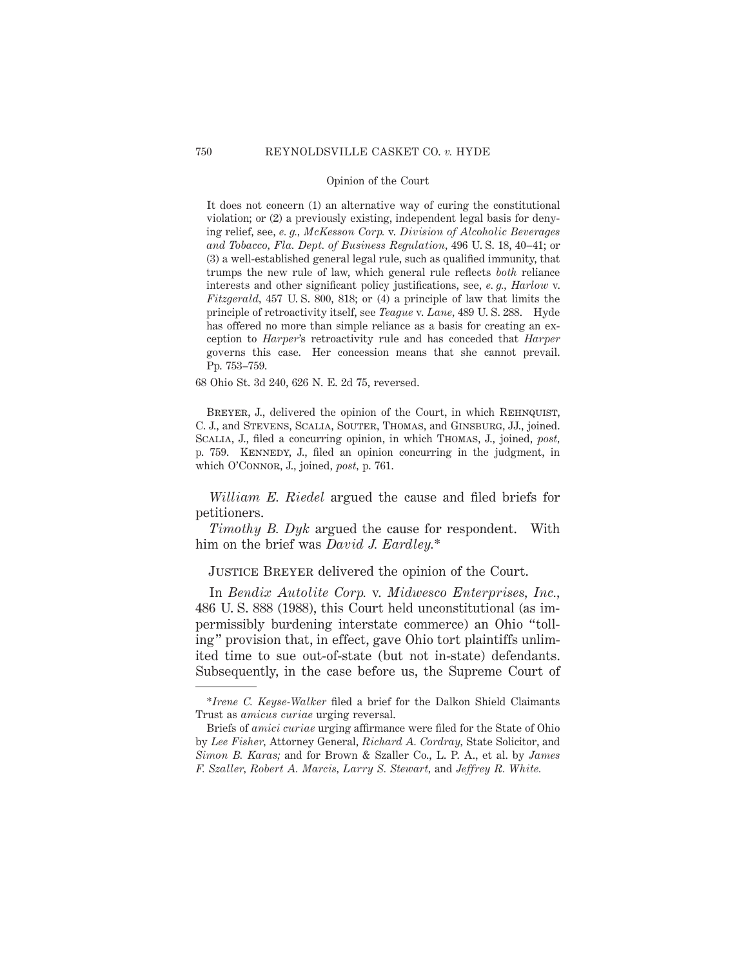It does not concern (1) an alternative way of curing the constitutional violation; or (2) a previously existing, independent legal basis for denying relief, see, *e. g., McKesson Corp.* v. *Division of Alcoholic Beverages and Tobacco, Fla. Dept. of Business Regulation,* 496 U. S. 18, 40–41; or (3) a well-established general legal rule, such as qualified immunity, that trumps the new rule of law, which general rule reflects *both* reliance interests and other significant policy justifications, see, *e. g., Harlow* v. *Fitzgerald,* 457 U. S. 800, 818; or (4) a principle of law that limits the principle of retroactivity itself, see *Teague* v. *Lane,* 489 U. S. 288. Hyde has offered no more than simple reliance as a basis for creating an exception to *Harper*'s retroactivity rule and has conceded that *Harper* governs this case. Her concession means that she cannot prevail. Pp. 753–759.

68 Ohio St. 3d 240, 626 N. E. 2d 75, reversed.

BREYER, J., delivered the opinion of the Court, in which REHNQUIST, C. J., and Stevens, Scalia, Souter, Thomas, and Ginsburg, JJ., joined. Scalia, J., filed a concurring opinion, in which Thomas, J., joined, *post,* p. 759. Kennedy, J., filed an opinion concurring in the judgment, in which O'Connor, J., joined, *post,* p. 761.

*William E. Riedel* argued the cause and filed briefs for petitioners.

*Timothy B. Dyk* argued the cause for respondent. With him on the brief was *David J. Eardley.*\*

Justice Breyer delivered the opinion of the Court.

In *Bendix Autolite Corp.* v. *Midwesco Enterprises, Inc.,* 486 U. S. 888 (1988), this Court held unconstitutional (as impermissibly burdening interstate commerce) an Ohio "tolling" provision that, in effect, gave Ohio tort plaintiffs unlimited time to sue out-of-state (but not in-state) defendants. Subsequently, in the case before us, the Supreme Court of

<sup>\*</sup>*Irene C. Keyse-Walker* filed a brief for the Dalkon Shield Claimants Trust as *amicus curiae* urging reversal.

Briefs of *amici curiae* urging affirmance were filed for the State of Ohio by *Lee Fisher,* Attorney General, *Richard A. Cordray,* State Solicitor, and *Simon B. Karas;* and for Brown & Szaller Co., L. P. A., et al. by *James F. Szaller, Robert A. Marcis, Larry S. Stewart,* and *Jeffrey R. White.*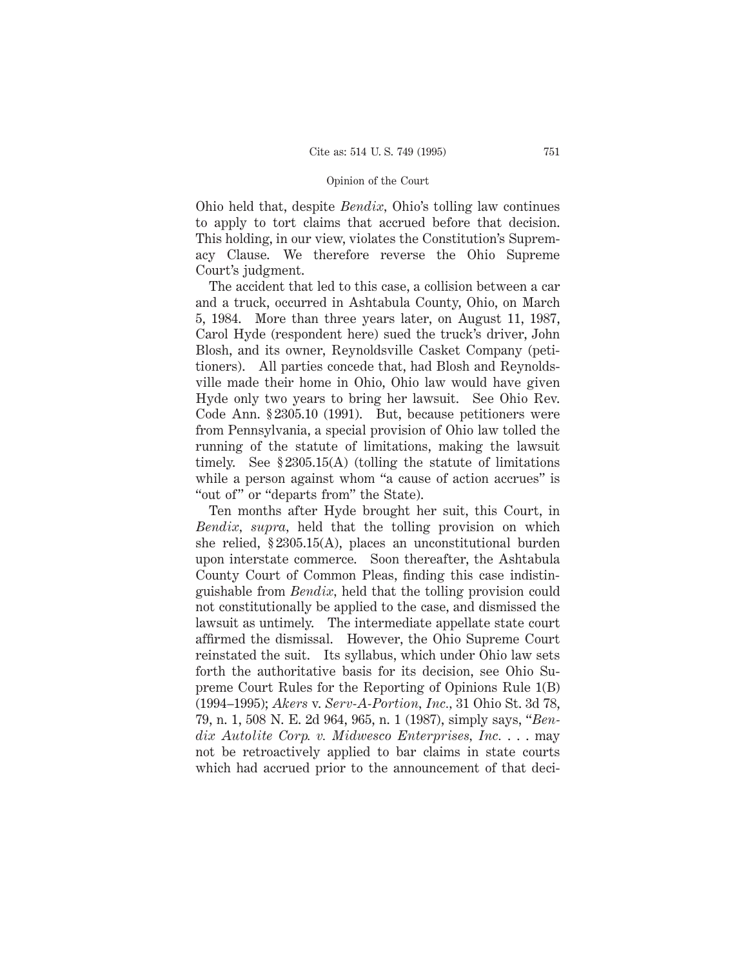Ohio held that, despite *Bendix,* Ohio's tolling law continues to apply to tort claims that accrued before that decision. This holding, in our view, violates the Constitution's Supremacy Clause. We therefore reverse the Ohio Supreme Court's judgment.

The accident that led to this case, a collision between a car and a truck, occurred in Ashtabula County, Ohio, on March 5, 1984. More than three years later, on August 11, 1987, Carol Hyde (respondent here) sued the truck's driver, John Blosh, and its owner, Reynoldsville Casket Company (petitioners). All parties concede that, had Blosh and Reynoldsville made their home in Ohio, Ohio law would have given Hyde only two years to bring her lawsuit. See Ohio Rev. Code Ann. § 2305.10 (1991). But, because petitioners were from Pennsylvania, a special provision of Ohio law tolled the running of the statute of limitations, making the lawsuit timely. See § 2305.15(A) (tolling the statute of limitations while a person against whom "a cause of action accrues" is "out of" or "departs from" the State).

Ten months after Hyde brought her suit, this Court, in *Bendix, supra,* held that the tolling provision on which she relied, § 2305.15(A), places an unconstitutional burden upon interstate commerce. Soon thereafter, the Ashtabula County Court of Common Pleas, finding this case indistinguishable from *Bendix,* held that the tolling provision could not constitutionally be applied to the case, and dismissed the lawsuit as untimely. The intermediate appellate state court affirmed the dismissal. However, the Ohio Supreme Court reinstated the suit. Its syllabus, which under Ohio law sets forth the authoritative basis for its decision, see Ohio Supreme Court Rules for the Reporting of Opinions Rule 1(B) (1994–1995); *Akers* v. *Serv-A-Portion, Inc.,* 31 Ohio St. 3d 78, 79, n. 1, 508 N. E. 2d 964, 965, n. 1 (1987), simply says, "*Bendix Autolite Corp. v. Midwesco Enterprises, Inc.* . . . may not be retroactively applied to bar claims in state courts which had accrued prior to the announcement of that deci-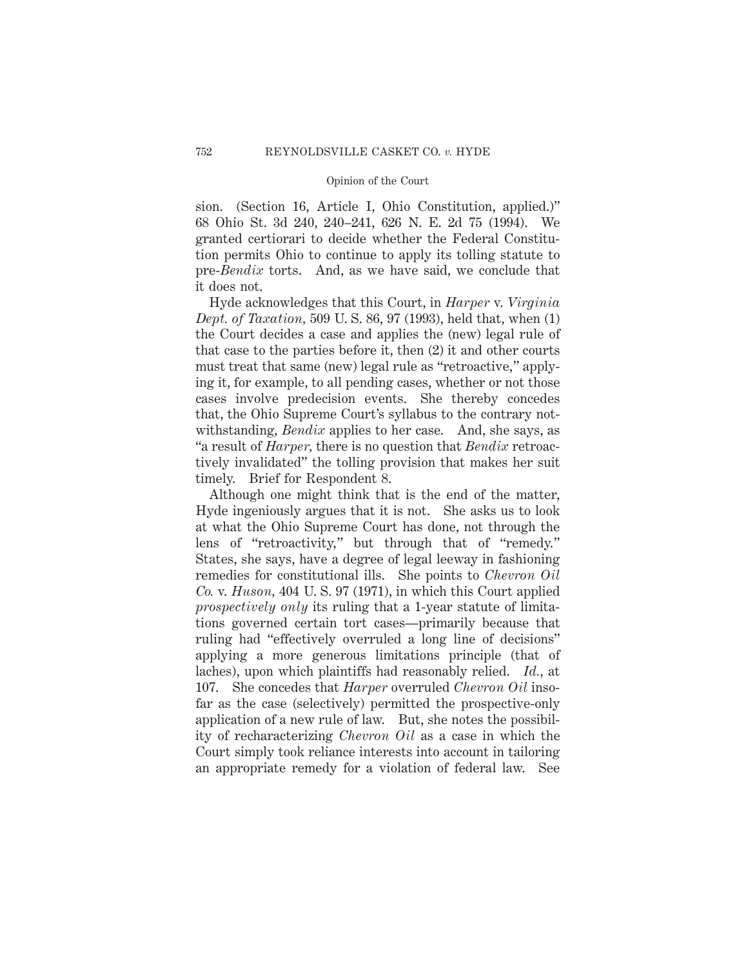sion. (Section 16, Article I, Ohio Constitution, applied.)" 68 Ohio St. 3d 240, 240–241, 626 N. E. 2d 75 (1994). We granted certiorari to decide whether the Federal Constitution permits Ohio to continue to apply its tolling statute to pre-*Bendix* torts. And, as we have said, we conclude that it does not.

Hyde acknowledges that this Court, in *Harper* v. *Virginia Dept. of Taxation,* 509 U. S. 86, 97 (1993), held that, when (1) the Court decides a case and applies the (new) legal rule of that case to the parties before it, then (2) it and other courts must treat that same (new) legal rule as "retroactive," applying it, for example, to all pending cases, whether or not those cases involve predecision events. She thereby concedes that, the Ohio Supreme Court's syllabus to the contrary notwithstanding, *Bendix* applies to her case. And, she says, as "a result of *Harper,* there is no question that *Bendix* retroactively invalidated" the tolling provision that makes her suit timely. Brief for Respondent 8.

Although one might think that is the end of the matter, Hyde ingeniously argues that it is not. She asks us to look at what the Ohio Supreme Court has done, not through the lens of "retroactivity," but through that of "remedy." States, she says, have a degree of legal leeway in fashioning remedies for constitutional ills. She points to *Chevron Oil Co.* v. *Huson,* 404 U. S. 97 (1971), in which this Court applied *prospectively only* its ruling that a 1-year statute of limitations governed certain tort cases—primarily because that ruling had "effectively overruled a long line of decisions" applying a more generous limitations principle (that of laches), upon which plaintiffs had reasonably relied. *Id.*, at 107. She concedes that *Harper* overruled *Chevron Oil* insofar as the case (selectively) permitted the prospective-only application of a new rule of law. But, she notes the possibility of recharacterizing *Chevron Oil* as a case in which the Court simply took reliance interests into account in tailoring an appropriate remedy for a violation of federal law. See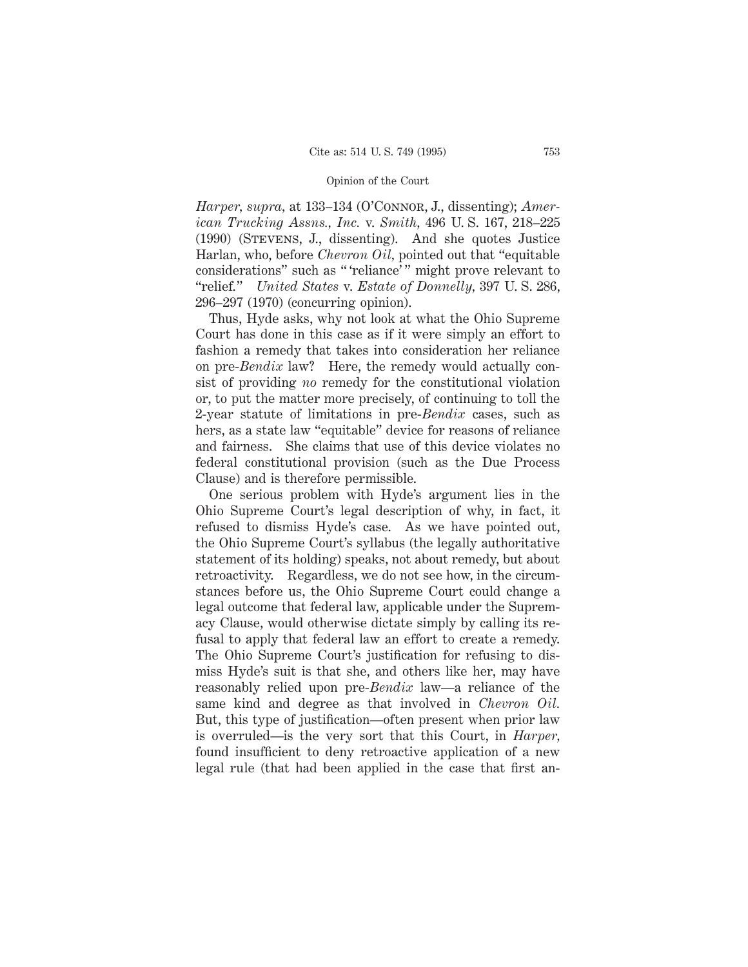*Harper, supra,* at 133–134 (O'Connor, J., dissenting); *American Trucking Assns., Inc.* v. *Smith,* 496 U. S. 167, 218–225 (1990) (Stevens, J., dissenting). And she quotes Justice Harlan, who, before *Chevron Oil,* pointed out that "equitable considerations" such as " 'reliance' " might prove relevant to "relief." *United States* v. *Estate of Donnelly,* 397 U. S. 286, 296–297 (1970) (concurring opinion).

Thus, Hyde asks, why not look at what the Ohio Supreme Court has done in this case as if it were simply an effort to fashion a remedy that takes into consideration her reliance on pre-*Bendix* law? Here, the remedy would actually consist of providing *no* remedy for the constitutional violation or, to put the matter more precisely, of continuing to toll the 2-year statute of limitations in pre-*Bendix* cases, such as hers, as a state law "equitable" device for reasons of reliance and fairness. She claims that use of this device violates no federal constitutional provision (such as the Due Process Clause) and is therefore permissible.

One serious problem with Hyde's argument lies in the Ohio Supreme Court's legal description of why, in fact, it refused to dismiss Hyde's case. As we have pointed out, the Ohio Supreme Court's syllabus (the legally authoritative statement of its holding) speaks, not about remedy, but about retroactivity. Regardless, we do not see how, in the circumstances before us, the Ohio Supreme Court could change a legal outcome that federal law, applicable under the Supremacy Clause, would otherwise dictate simply by calling its refusal to apply that federal law an effort to create a remedy. The Ohio Supreme Court's justification for refusing to dismiss Hyde's suit is that she, and others like her, may have reasonably relied upon pre-*Bendix* law—a reliance of the same kind and degree as that involved in *Chevron Oil.* But, this type of justification—often present when prior law is overruled—is the very sort that this Court, in *Harper,* found insufficient to deny retroactive application of a new legal rule (that had been applied in the case that first an-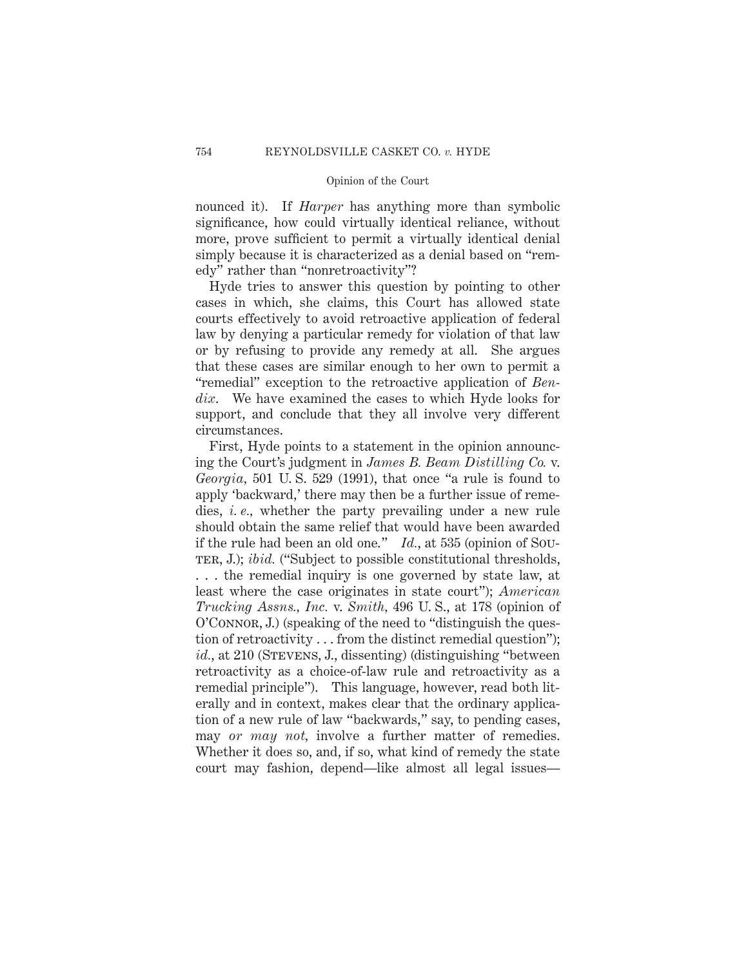nounced it). If *Harper* has anything more than symbolic significance, how could virtually identical reliance, without more, prove sufficient to permit a virtually identical denial simply because it is characterized as a denial based on "remedy" rather than "nonretroactivity"?

Hyde tries to answer this question by pointing to other cases in which, she claims, this Court has allowed state courts effectively to avoid retroactive application of federal law by denying a particular remedy for violation of that law or by refusing to provide any remedy at all. She argues that these cases are similar enough to her own to permit a "remedial" exception to the retroactive application of *Bendix*. We have examined the cases to which Hyde looks for support, and conclude that they all involve very different circumstances.

First, Hyde points to a statement in the opinion announcing the Court's judgment in *James B. Beam Distilling Co.* v. *Georgia,* 501 U. S. 529 (1991), that once "a rule is found to apply 'backward,' there may then be a further issue of remedies, *i. e.,* whether the party prevailing under a new rule should obtain the same relief that would have been awarded if the rule had been an old one." *Id.*, at 535 (opinion of Sou-TER, J.); *ibid.* ("Subject to possible constitutional thresholds, . . . the remedial inquiry is one governed by state law, at least where the case originates in state court"); *American Trucking Assns., Inc.* v. *Smith,* 496 U. S., at 178 (opinion of O'CONNOR, J.) (speaking of the need to "distinguish the question of retroactivity . . . from the distinct remedial question"); *id.*, at 210 (STEVENS, J., dissenting) (distinguishing "between retroactivity as a choice-of-law rule and retroactivity as a remedial principle"). This language, however, read both literally and in context, makes clear that the ordinary application of a new rule of law "backwards," say, to pending cases, may *or may not,* involve a further matter of remedies. Whether it does so, and, if so, what kind of remedy the state court may fashion, depend—like almost all legal issues—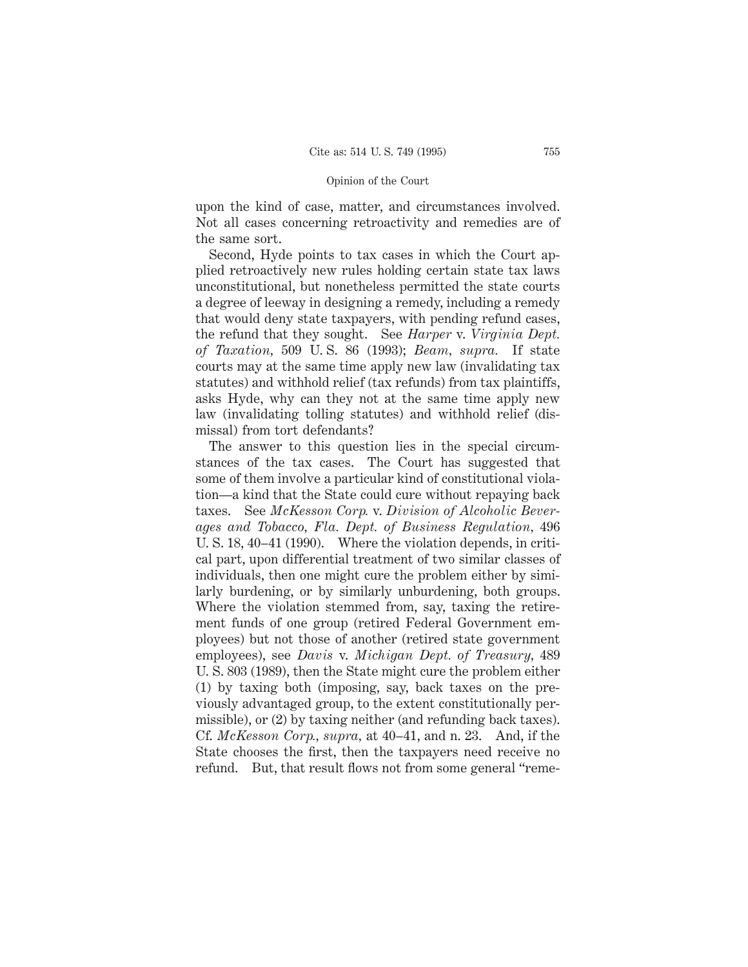upon the kind of case, matter, and circumstances involved. Not all cases concerning retroactivity and remedies are of the same sort.

Second, Hyde points to tax cases in which the Court applied retroactively new rules holding certain state tax laws unconstitutional, but nonetheless permitted the state courts a degree of leeway in designing a remedy, including a remedy that would deny state taxpayers, with pending refund cases, the refund that they sought. See *Harper* v. *Virginia Dept. of Taxation,* 509 U. S. 86 (1993); *Beam, supra.* If state courts may at the same time apply new law (invalidating tax statutes) and withhold relief (tax refunds) from tax plaintiffs, asks Hyde, why can they not at the same time apply new law (invalidating tolling statutes) and withhold relief (dismissal) from tort defendants?

The answer to this question lies in the special circumstances of the tax cases. The Court has suggested that some of them involve a particular kind of constitutional violation—a kind that the State could cure without repaying back taxes. See *McKesson Corp.* v. *Division of Alcoholic Beverages and Tobacco, Fla. Dept. of Business Regulation,* 496 U. S. 18, 40–41 (1990). Where the violation depends, in critical part, upon differential treatment of two similar classes of individuals, then one might cure the problem either by similarly burdening, or by similarly unburdening, both groups. Where the violation stemmed from, say, taxing the retirement funds of one group (retired Federal Government employees) but not those of another (retired state government employees), see *Davis* v. *Michigan Dept. of Treasury,* 489 U. S. 803 (1989), then the State might cure the problem either (1) by taxing both (imposing, say, back taxes on the previously advantaged group, to the extent constitutionally permissible), or (2) by taxing neither (and refunding back taxes). Cf. *McKesson Corp., supra,* at 40–41, and n. 23. And, if the State chooses the first, then the taxpayers need receive no refund. But, that result flows not from some general "reme-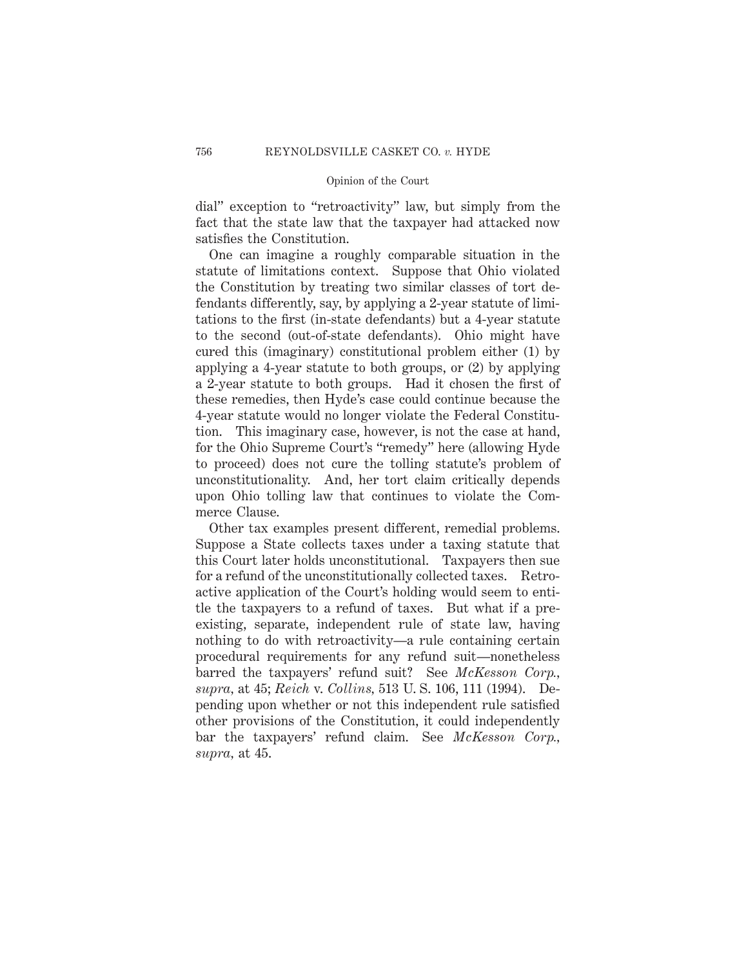dial" exception to "retroactivity" law, but simply from the fact that the state law that the taxpayer had attacked now satisfies the Constitution.

One can imagine a roughly comparable situation in the statute of limitations context. Suppose that Ohio violated the Constitution by treating two similar classes of tort defendants differently, say, by applying a 2-year statute of limitations to the first (in-state defendants) but a 4-year statute to the second (out-of-state defendants). Ohio might have cured this (imaginary) constitutional problem either (1) by applying a 4-year statute to both groups, or (2) by applying a 2-year statute to both groups. Had it chosen the first of these remedies, then Hyde's case could continue because the 4-year statute would no longer violate the Federal Constitution. This imaginary case, however, is not the case at hand, for the Ohio Supreme Court's "remedy" here (allowing Hyde to proceed) does not cure the tolling statute's problem of unconstitutionality. And, her tort claim critically depends upon Ohio tolling law that continues to violate the Commerce Clause.

Other tax examples present different, remedial problems. Suppose a State collects taxes under a taxing statute that this Court later holds unconstitutional. Taxpayers then sue for a refund of the unconstitutionally collected taxes. Retroactive application of the Court's holding would seem to entitle the taxpayers to a refund of taxes. But what if a preexisting, separate, independent rule of state law, having nothing to do with retroactivity—a rule containing certain procedural requirements for any refund suit—nonetheless barred the taxpayers' refund suit? See *McKesson Corp., supra,* at 45; *Reich* v. *Collins,* 513 U. S. 106, 111 (1994). Depending upon whether or not this independent rule satisfied other provisions of the Constitution, it could independently bar the taxpayers' refund claim. See *McKesson Corp., supra,* at 45.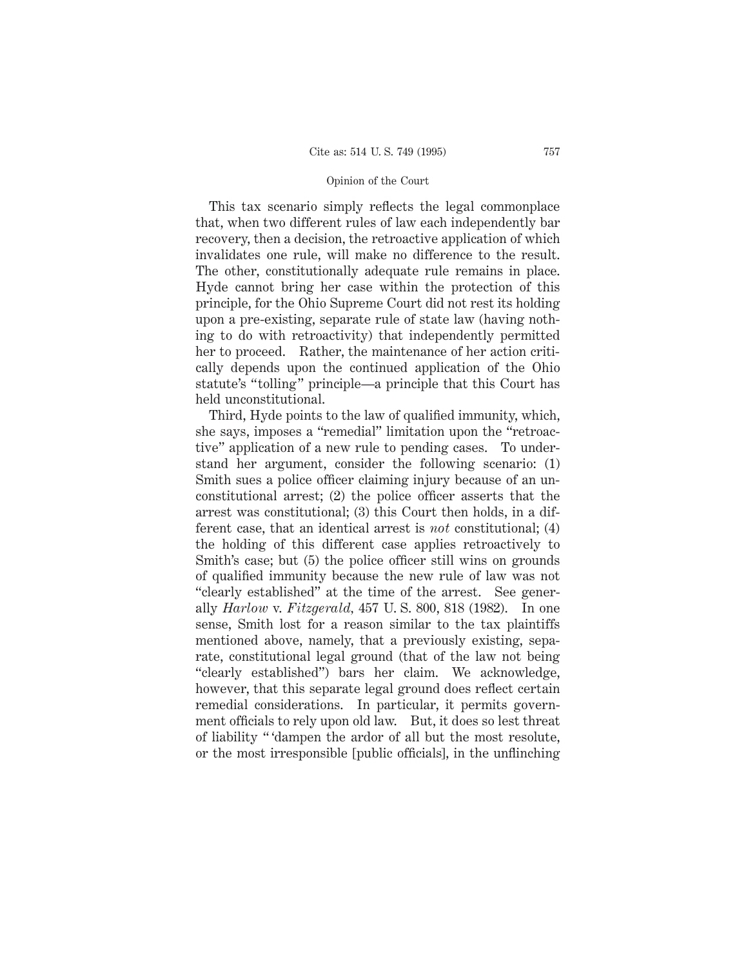This tax scenario simply reflects the legal commonplace that, when two different rules of law each independently bar recovery, then a decision, the retroactive application of which invalidates one rule, will make no difference to the result. The other, constitutionally adequate rule remains in place. Hyde cannot bring her case within the protection of this principle, for the Ohio Supreme Court did not rest its holding upon a pre-existing, separate rule of state law (having nothing to do with retroactivity) that independently permitted her to proceed. Rather, the maintenance of her action critically depends upon the continued application of the Ohio statute's "tolling" principle—a principle that this Court has held unconstitutional.

Third, Hyde points to the law of qualified immunity, which, she says, imposes a "remedial" limitation upon the "retroactive" application of a new rule to pending cases. To understand her argument, consider the following scenario: (1) Smith sues a police officer claiming injury because of an unconstitutional arrest; (2) the police officer asserts that the arrest was constitutional; (3) this Court then holds, in a different case, that an identical arrest is *not* constitutional; (4) the holding of this different case applies retroactively to Smith's case; but (5) the police officer still wins on grounds of qualified immunity because the new rule of law was not "clearly established" at the time of the arrest. See generally *Harlow* v. *Fitzgerald,* 457 U. S. 800, 818 (1982). In one sense, Smith lost for a reason similar to the tax plaintiffs mentioned above, namely, that a previously existing, separate, constitutional legal ground (that of the law not being "clearly established") bars her claim. We acknowledge, however, that this separate legal ground does reflect certain remedial considerations. In particular, it permits government officials to rely upon old law. But, it does so lest threat of liability " 'dampen the ardor of all but the most resolute, or the most irresponsible [public officials], in the unflinching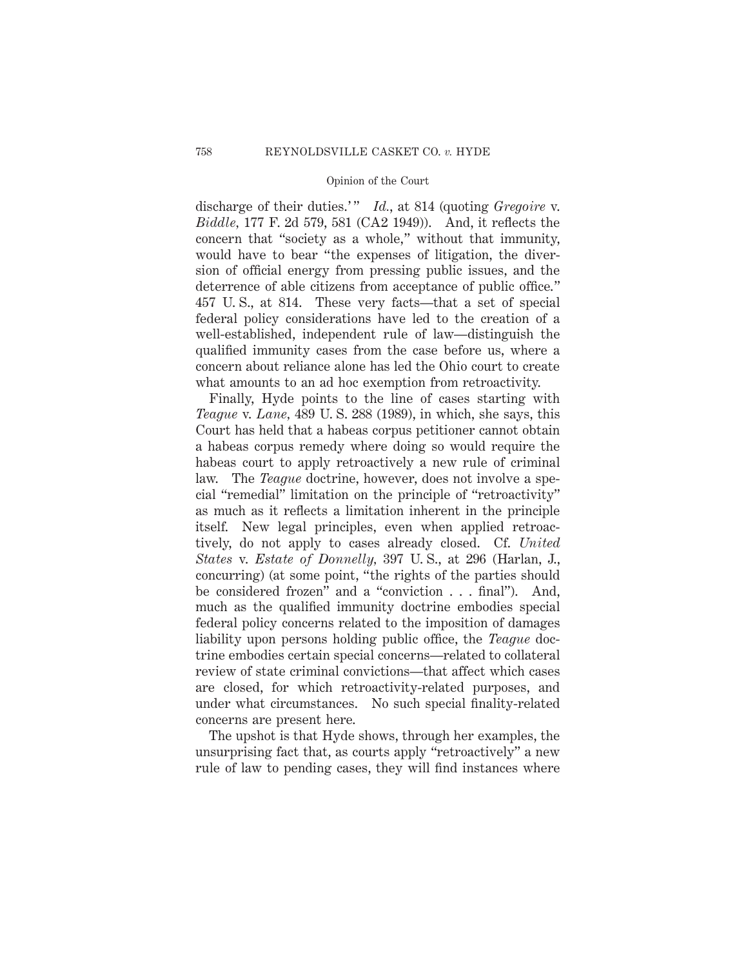discharge of their duties.'" *Id.*, at 814 (quoting *Gregoire* v. *Biddle,* 177 F. 2d 579, 581 (CA2 1949)). And, it reflects the concern that "society as a whole," without that immunity, would have to bear "the expenses of litigation, the diversion of official energy from pressing public issues, and the deterrence of able citizens from acceptance of public office." 457 U. S., at 814. These very facts—that a set of special federal policy considerations have led to the creation of a well-established, independent rule of law—distinguish the qualified immunity cases from the case before us, where a concern about reliance alone has led the Ohio court to create what amounts to an ad hoc exemption from retroactivity.

Finally, Hyde points to the line of cases starting with *Teague* v. *Lane,* 489 U. S. 288 (1989), in which, she says, this Court has held that a habeas corpus petitioner cannot obtain a habeas corpus remedy where doing so would require the habeas court to apply retroactively a new rule of criminal law. The *Teague* doctrine, however, does not involve a special "remedial" limitation on the principle of "retroactivity" as much as it reflects a limitation inherent in the principle itself. New legal principles, even when applied retroactively, do not apply to cases already closed. Cf. *United States* v. *Estate of Donnelly,* 397 U. S., at 296 (Harlan, J., concurring) (at some point, "the rights of the parties should be considered frozen" and a "conviction . . . final"). And, much as the qualified immunity doctrine embodies special federal policy concerns related to the imposition of damages liability upon persons holding public office, the *Teague* doctrine embodies certain special concerns—related to collateral review of state criminal convictions—that affect which cases are closed, for which retroactivity-related purposes, and under what circumstances. No such special finality-related concerns are present here.

The upshot is that Hyde shows, through her examples, the unsurprising fact that, as courts apply "retroactively" a new rule of law to pending cases, they will find instances where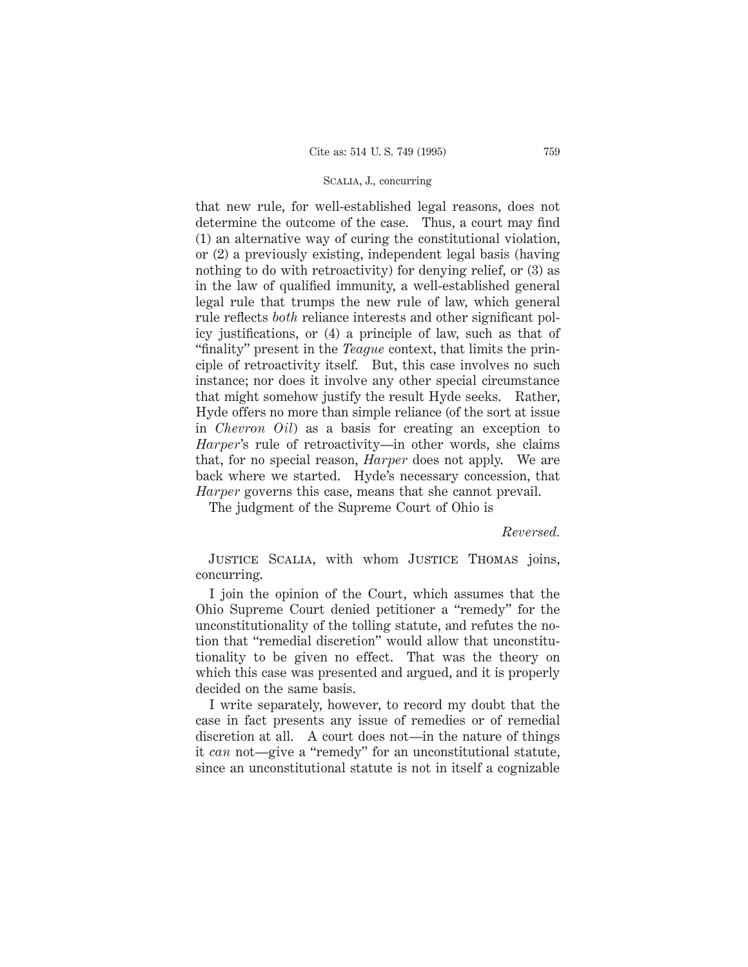# Scalia, J., concurring

that new rule, for well-established legal reasons, does not determine the outcome of the case. Thus, a court may find (1) an alternative way of curing the constitutional violation, or (2) a previously existing, independent legal basis (having nothing to do with retroactivity) for denying relief, or (3) as in the law of qualified immunity, a well-established general legal rule that trumps the new rule of law, which general rule reflects *both* reliance interests and other significant policy justifications, or (4) a principle of law, such as that of "finality" present in the *Teague* context, that limits the principle of retroactivity itself. But, this case involves no such instance; nor does it involve any other special circumstance that might somehow justify the result Hyde seeks. Rather, Hyde offers no more than simple reliance (of the sort at issue in *Chevron Oil*) as a basis for creating an exception to *Harper*'s rule of retroactivity—in other words, she claims that, for no special reason, *Harper* does not apply. We are back where we started. Hyde's necessary concession, that *Harper* governs this case, means that she cannot prevail.

The judgment of the Supreme Court of Ohio is

*Reversed.*

Justice Scalia, with whom Justice Thomas joins, concurring.

I join the opinion of the Court, which assumes that the Ohio Supreme Court denied petitioner a "remedy" for the unconstitutionality of the tolling statute, and refutes the notion that "remedial discretion" would allow that unconstitutionality to be given no effect. That was the theory on which this case was presented and argued, and it is properly decided on the same basis.

I write separately, however, to record my doubt that the case in fact presents any issue of remedies or of remedial discretion at all. A court does not—in the nature of things it *can* not—give a "remedy" for an unconstitutional statute, since an unconstitutional statute is not in itself a cognizable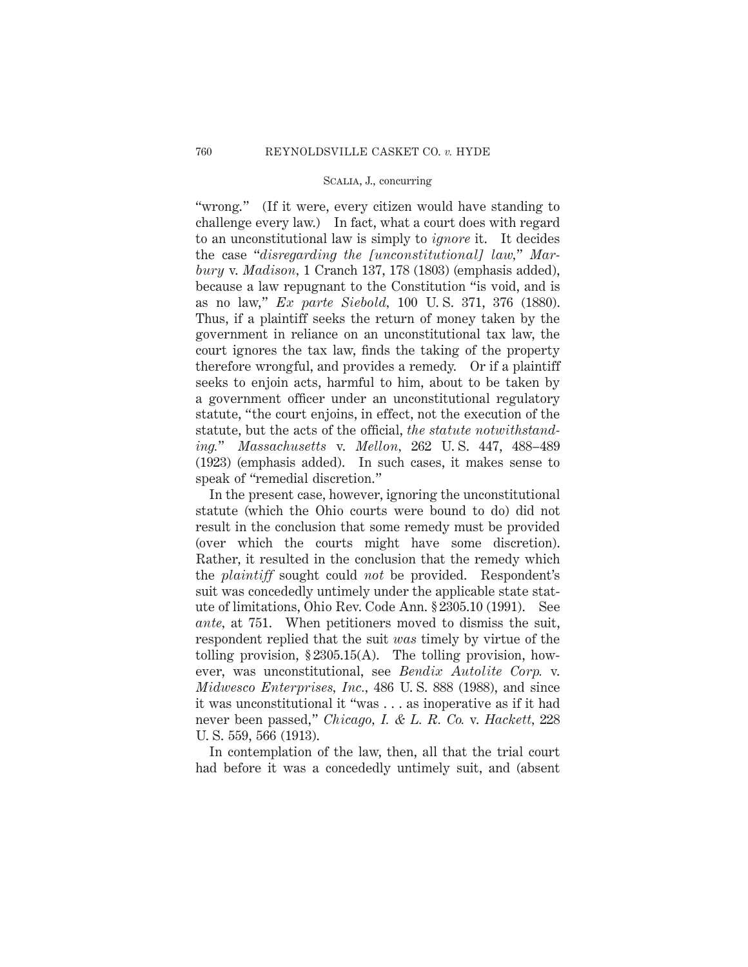# Scalia, J., concurring

"wrong." (If it were, every citizen would have standing to challenge every law.) In fact, what a court does with regard to an unconstitutional law is simply to *ignore* it. It decides the case "*disregarding the [unconstitutional] law,*" *Marbury* v. *Madison,* 1 Cranch 137, 178 (1803) (emphasis added), because a law repugnant to the Constitution "is void, and is as no law," *Ex parte Siebold,* 100 U. S. 371, 376 (1880). Thus, if a plaintiff seeks the return of money taken by the government in reliance on an unconstitutional tax law, the court ignores the tax law, finds the taking of the property therefore wrongful, and provides a remedy. Or if a plaintiff seeks to enjoin acts, harmful to him, about to be taken by a government officer under an unconstitutional regulatory statute, "the court enjoins, in effect, not the execution of the statute, but the acts of the official, *the statute notwithstanding.*" *Massachusetts* v. *Mellon,* 262 U. S. 447, 488–489 (1923) (emphasis added). In such cases, it makes sense to speak of "remedial discretion."

In the present case, however, ignoring the unconstitutional statute (which the Ohio courts were bound to do) did not result in the conclusion that some remedy must be provided (over which the courts might have some discretion). Rather, it resulted in the conclusion that the remedy which the *plaintiff* sought could *not* be provided. Respondent's suit was concededly untimely under the applicable state statute of limitations, Ohio Rev. Code Ann. § 2305.10 (1991). See *ante,* at 751. When petitioners moved to dismiss the suit, respondent replied that the suit *was* timely by virtue of the tolling provision,  $\S 2305.15(A)$ . The tolling provision, however, was unconstitutional, see *Bendix Autolite Corp.* v. *Midwesco Enterprises, Inc.,* 486 U. S. 888 (1988), and since it was unconstitutional it "was . . . as inoperative as if it had never been passed," *Chicago, I. & L. R. Co.* v. *Hackett,* 228 U. S. 559, 566 (1913).

In contemplation of the law, then, all that the trial court had before it was a concededly untimely suit, and (absent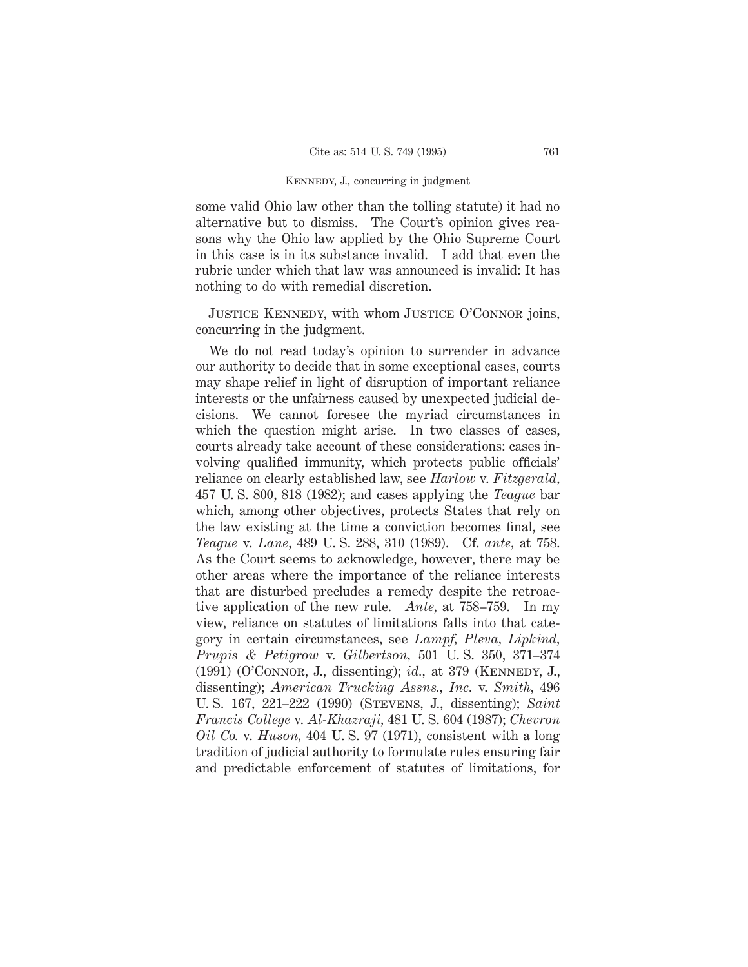some valid Ohio law other than the tolling statute) it had no alternative but to dismiss. The Court's opinion gives reasons why the Ohio law applied by the Ohio Supreme Court in this case is in its substance invalid. I add that even the rubric under which that law was announced is invalid: It has nothing to do with remedial discretion.

Justice Kennedy, with whom Justice O'Connor joins, concurring in the judgment.

We do not read today's opinion to surrender in advance our authority to decide that in some exceptional cases, courts may shape relief in light of disruption of important reliance interests or the unfairness caused by unexpected judicial decisions. We cannot foresee the myriad circumstances in which the question might arise. In two classes of cases, courts already take account of these considerations: cases involving qualified immunity, which protects public officials' reliance on clearly established law, see *Harlow* v. *Fitzgerald,* 457 U. S. 800, 818 (1982); and cases applying the *Teague* bar which, among other objectives, protects States that rely on the law existing at the time a conviction becomes final, see *Teague* v. *Lane,* 489 U. S. 288, 310 (1989). Cf. *ante,* at 758. As the Court seems to acknowledge, however, there may be other areas where the importance of the reliance interests that are disturbed precludes a remedy despite the retroactive application of the new rule. *Ante,* at 758–759. In my view, reliance on statutes of limitations falls into that category in certain circumstances, see *Lampf, Pleva, Lipkind, Prupis & Petigrow* v. *Gilbertson,* 501 U. S. 350, 371–374 (1991) (O'Connor, J., dissenting); *id.,* at 379 (Kennedy, J., dissenting); *American Trucking Assns., Inc.* v. *Smith,* 496 U. S. 167, 221–222 (1990) (Stevens, J., dissenting); *Saint Francis College* v. *Al-Khazraji,* 481 U. S. 604 (1987); *Chevron Oil Co.* v. *Huson,* 404 U. S. 97 (1971), consistent with a long tradition of judicial authority to formulate rules ensuring fair and predictable enforcement of statutes of limitations, for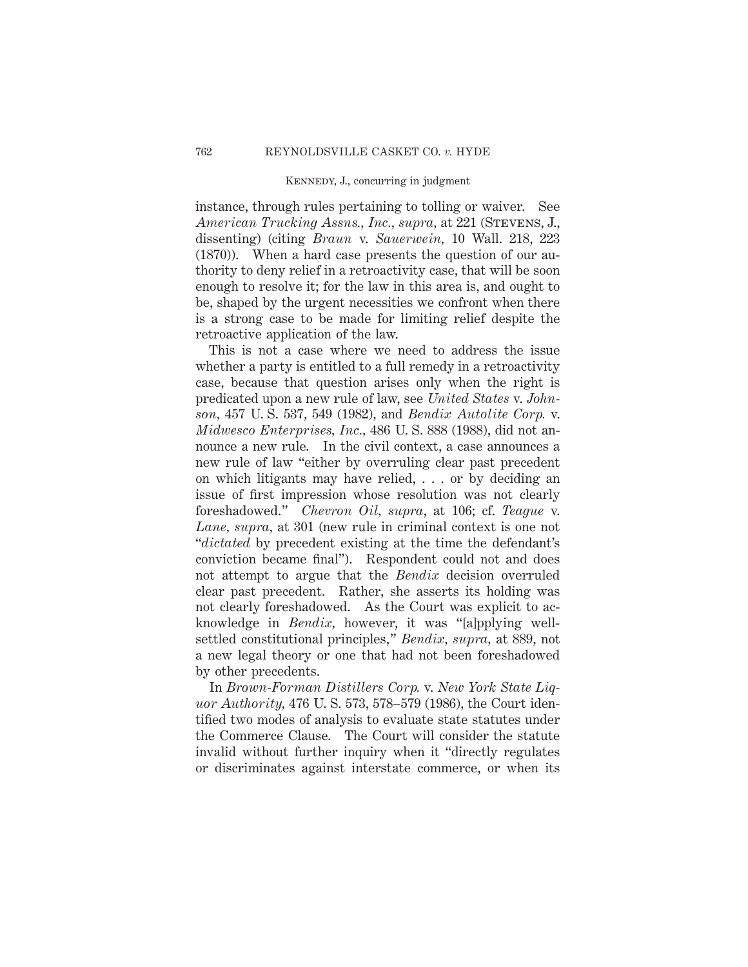instance, through rules pertaining to tolling or waiver. See *American Trucking Assns., Inc., supra,* at 221 (Stevens, J., dissenting) (citing *Braun* v. *Sauerwein,* 10 Wall. 218, 223 (1870)). When a hard case presents the question of our authority to deny relief in a retroactivity case, that will be soon enough to resolve it; for the law in this area is, and ought to be, shaped by the urgent necessities we confront when there is a strong case to be made for limiting relief despite the retroactive application of the law.

This is not a case where we need to address the issue whether a party is entitled to a full remedy in a retroactivity case, because that question arises only when the right is predicated upon a new rule of law, see *United States* v. *Johnson,* 457 U. S. 537, 549 (1982), and *Bendix Autolite Corp.* v. *Midwesco Enterprises, Inc.,* 486 U. S. 888 (1988), did not announce a new rule. In the civil context, a case announces a new rule of law "either by overruling clear past precedent on which litigants may have relied, . . . or by deciding an issue of first impression whose resolution was not clearly foreshadowed." *Chevron Oil, supra*, at 106; cf. *Teague* v. *Lane, supra,* at 301 (new rule in criminal context is one not "*dictated* by precedent existing at the time the defendant's conviction became final"). Respondent could not and does not attempt to argue that the *Bendix* decision overruled clear past precedent. Rather, she asserts its holding was not clearly foreshadowed. As the Court was explicit to acknowledge in *Bendix,* however, it was "[a]pplying wellsettled constitutional principles," *Bendix, supra,* at 889, not a new legal theory or one that had not been foreshadowed by other precedents.

In *Brown-Forman Distillers Corp.* v. *New York State Liquor Authority,* 476 U. S. 573, 578–579 (1986), the Court identified two modes of analysis to evaluate state statutes under the Commerce Clause. The Court will consider the statute invalid without further inquiry when it "directly regulates or discriminates against interstate commerce, or when its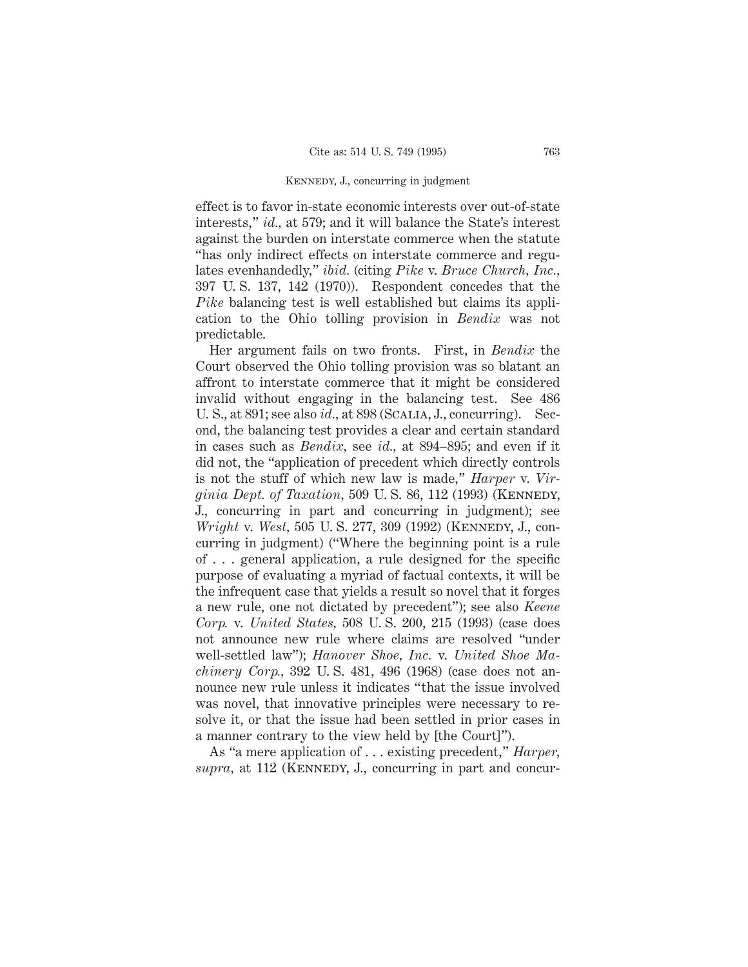effect is to favor in-state economic interests over out-of-state interests," *id.,* at 579; and it will balance the State's interest against the burden on interstate commerce when the statute "has only indirect effects on interstate commerce and regulates evenhandedly," *ibid.* (citing *Pike* v. *Bruce Church, Inc.,* 397 U. S. 137, 142 (1970)). Respondent concedes that the *Pike* balancing test is well established but claims its application to the Ohio tolling provision in *Bendix* was not predictable.

Her argument fails on two fronts. First, in *Bendix* the Court observed the Ohio tolling provision was so blatant an affront to interstate commerce that it might be considered invalid without engaging in the balancing test. See 486 U. S., at 891; see also *id.,* at 898 (Scalia, J., concurring). Second, the balancing test provides a clear and certain standard in cases such as *Bendix,* see *id.,* at 894–895; and even if it did not, the "application of precedent which directly controls is not the stuff of which new law is made," *Harper* v. *Virginia Dept. of Taxation,* 509 U.S. 86, 112 (1993) (KENNEDY, J., concurring in part and concurring in judgment); see *Wright* v. *West*, 505 U. S. 277, 309 (1992) (KENNEDY, J., concurring in judgment) ("Where the beginning point is a rule of . . . general application, a rule designed for the specific purpose of evaluating a myriad of factual contexts, it will be the infrequent case that yields a result so novel that it forges a new rule, one not dictated by precedent"); see also *Keene Corp.* v. *United States,* 508 U. S. 200, 215 (1993) (case does not announce new rule where claims are resolved "under well-settled law"); *Hanover Shoe, Inc.* v. *United Shoe Machinery Corp.,* 392 U. S. 481, 496 (1968) (case does not announce new rule unless it indicates "that the issue involved was novel, that innovative principles were necessary to resolve it, or that the issue had been settled in prior cases in a manner contrary to the view held by [the Court]").

As "a mere application of . . . existing precedent," *Harper,* supra, at 112 (KENNEDY, J., concurring in part and concur-